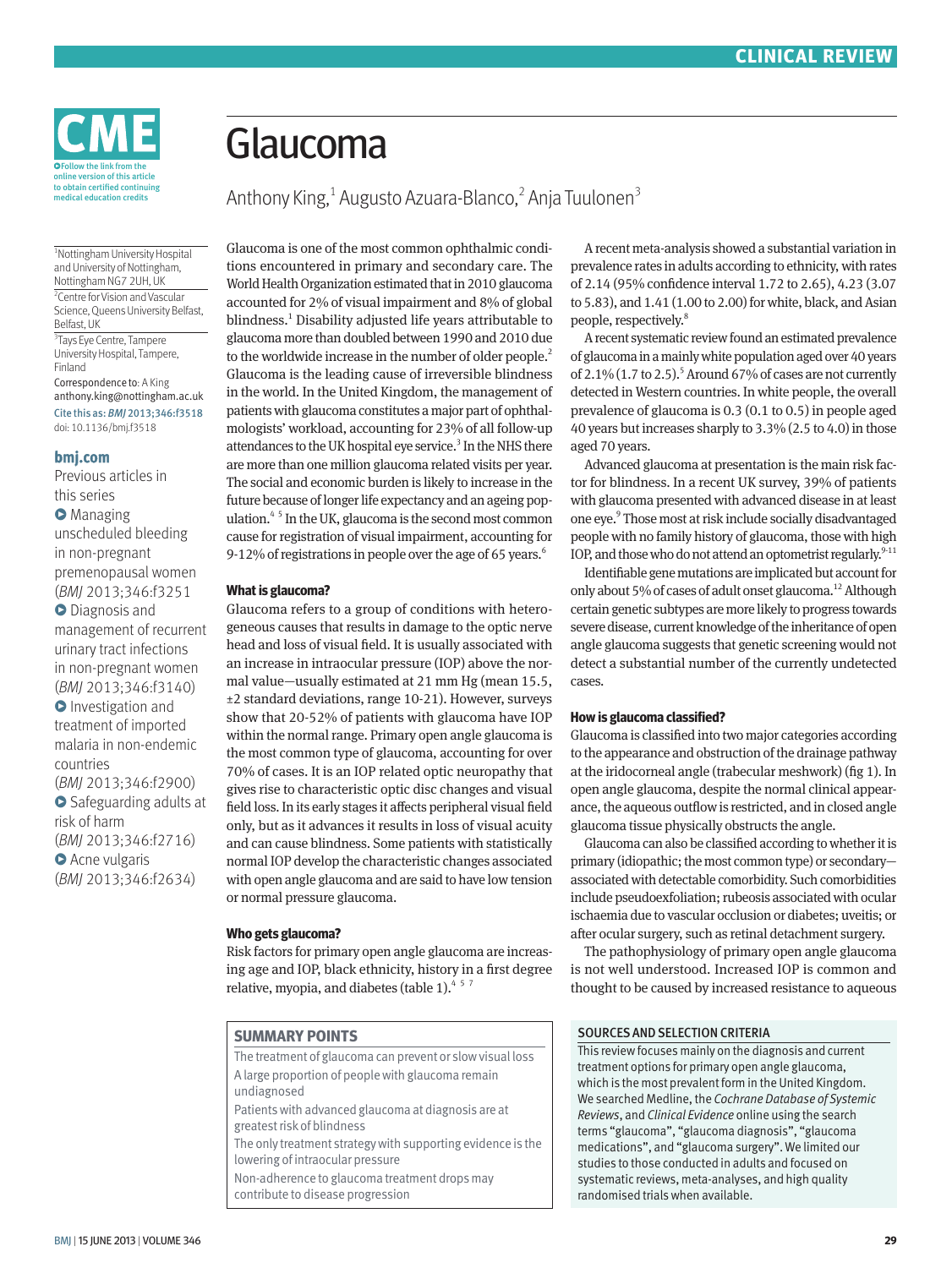## Follow the link from the online version of this article to obtain certified continuing medical education credits

1 Nottingham University Hospital and University of Nottingham, Nottingham NG7 2UH, UK 2 Centre for Vision and Vascular Science, Queens University Belfast, Belfast, UK

<sup>3</sup>Tays Eye Centre, Tampere University Hospital, Tampere, Finland

Correspondence to: A King anthony.king@nottingham.ac.uk Cite this as: *BMJ* 2013;346:f3518

doi: 10.1136/bmj.f3518

#### **bmj.com**

Previous articles in this series **• Managing** unscheduled bleeding in non-pregnant premenopausal women (*BMJ* 2013;346:f3251  $\bullet$  Diagnosis and management of recurrent urinary tract infections in non-pregnant women (*BMJ* 2013;346:f3140) **O** Investigation and treatment of imported malaria in non-endemic countries (*BMJ* 2013;346:f2900) **O** Safeguarding adults at risk of harm (*BMJ* 2013;346:f2716) **•** Acne vulgaris (*BMJ* 2013;346:f2634)

# Glaucoma

Anthony King,<sup>1</sup> Augusto Azuara-Blanco,<sup>2</sup> Anja Tuulonen<sup>3</sup>

Glaucoma is one of the most common ophthalmic conditions encountered in primary and secondary care. The World Health Organization estimated that in 2010 glaucoma accounted for 2% of visual impairment and 8% of global blindness.<sup>1</sup> Disability adjusted life years attributable to glaucoma more than doubled between 1990 and 2010 due to the worldwide increase in the number of older people.<sup>2</sup> Glaucoma is the leading cause of irreversible blindness in the world. In the United Kingdom, the management of patients with glaucoma constitutes a major part of ophthalmologists' workload, accounting for 23% of all follow-up attendances to the UK hospital eye service.<sup>3</sup> In the NHS there are more than one million glaucoma related visits per year. The social and economic burden is likely to increase in the future because of longer life expectancy and an ageing population.4 5 In the UK, glaucoma is the second most common cause for registration of visual impairment, accounting for 9-12% of registrations in people over the age of 65 years.<sup>6</sup>

#### **What is glaucoma?**

Glaucoma refers to a group of conditions with heterogeneous causes that results in damage to the optic nerve head and loss of visual field. It is usually associated with an increase in intraocular pressure (IOP) above the normal value—usually estimated at 21 mm Hg (mean 15.5, ±2 standard deviations, range 10-21). However, surveys show that 20-52% of patients with glaucoma have IOP within the normal range. Primary open angle glaucoma is the most common type of glaucoma, accounting for over 70% of cases. It is an IOP related optic neuropathy that gives rise to characteristic optic disc changes and visual field loss. In its early stages it affects peripheral visual field only, but as it advances it results in loss of visual acuity and can cause blindness. Some patients with statistically normal IOP develop the characteristic changes associated with open angle glaucoma and are said to have low tension or normal pressure glaucoma.

#### **Who gets glaucoma?**

Risk factors for primary open angle glaucoma are increasing age and IOP, black ethnicity, history in a first degree relative, myopia, and diabetes (table 1).<sup>457</sup>

#### **SUMMARY POINTS**

The treatment of glaucoma can prevent or slow visual loss A large proportion of people with glaucoma remain undiagnosed

Patients with advanced glaucoma at diagnosis are at greatest risk of blindness

The only treatment strategy with supporting evidence is the lowering of intraocular pressure

Non-adherence to glaucoma treatment drops may contribute to disease progression

A recent meta-analysis showed a substantial variation in prevalence rates in adults according to ethnicity, with rates of 2.14 (95% confidence interval 1.72 to 2.65), 4.23 (3.07 to 5.83), and 1.41 (1.00 to 2.00) for white, black, and Asian people, respectively.<sup>8</sup>

A recent systematic review found an estimated prevalence of glaucoma in a mainly white population aged over 40 years of 2.1%  $(1.7 \text{ to } 2.5)$ .<sup>5</sup> Around 67% of cases are not currently detected in Western countries. In white people, the overall prevalence of glaucoma is 0.3 (0.1 to 0.5) in people aged 40 years but increases sharply to 3.3% (2.5 to 4.0) in those aged 70 years.

Advanced glaucoma at presentation is the main risk factor for blindness. In a recent UK survey, 39% of patients with glaucoma presented with advanced disease in at least one eye.9 Those most at risk include socially disadvantaged people with no family history of glaucoma, those with high IOP, and those who do not attend an optometrist regularly. $9-11$ 

Identifiable gene mutations are implicated but account for only about 5% of cases of adult onset glaucoma.<sup>12</sup> Although certain genetic subtypes are more likely to progress towards severe disease, current knowledge of the inheritance of open angle glaucoma suggests that genetic screening would not detect a substantial number of the currently undetected cases.

#### **How is glaucoma classified?**

Glaucoma is classified into two major categories according to the appearance and obstruction of the drainage pathway at the iridocorneal angle (trabecular meshwork) (fig 1). In open angle glaucoma, despite the normal clinical appearance, the aqueous outflow is restricted, and in closed angle glaucoma tissue physically obstructs the angle.

Glaucoma can also be classified according to whether it is primary (idiopathic; the most common type) or secondary associated with detectable comorbidity. Such comorbidities include pseudoexfoliation; rubeosis associated with ocular ischaemia due to vascular occlusion or diabetes; uveitis; or after ocular surgery, such as retinal detachment surgery.

The pathophysiology of primary open angle glaucoma is not well understood. Increased IOP is common and thought to be caused by increased resistance to aqueous

#### SOURCES AND SELECTION CRITERIA

This review focuses mainly on the diagnosis and current treatment options for primary open angle glaucoma, which is the most prevalent form in the United Kingdom. We searched Medline, the *Cochrane Database of Systemic Reviews*, and *Clinical Evidence* online using the search terms "glaucoma", "glaucoma diagnosis", "glaucoma medications", and "glaucoma surgery". We limited our studies to those conducted in adults and focused on systematic reviews, meta-analyses, and high quality randomised trials when available.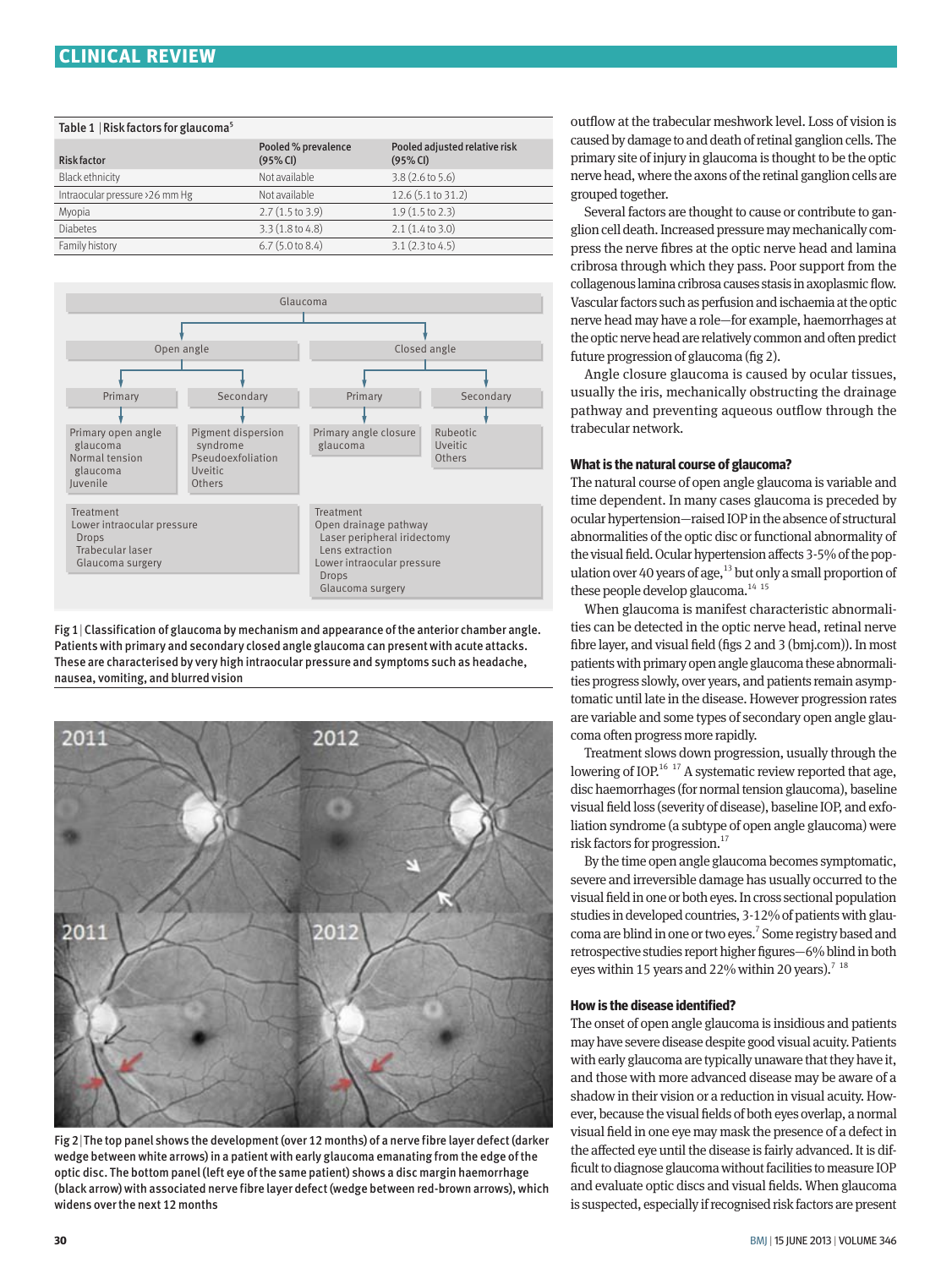## **CLINICAL REVIEW**

| Table 1   Risk factors for glaucoma <sup>5</sup> |                                 |                                           |  |  |
|--------------------------------------------------|---------------------------------|-------------------------------------------|--|--|
| <b>Risk factor</b>                               | Pooled % prevalence<br>(95% CI) | Pooled adjusted relative risk<br>(95% CI) |  |  |
| <b>Black ethnicity</b>                           | Not available                   | $3.8(2.6 \text{ to } 5.6)$                |  |  |
| Intraocular pressure > 26 mm Hg                  | Not available                   | 12.6 (5.1 to 31.2)                        |  |  |
| Myopia                                           | $2.7(1.5 \text{ to } 3.9)$      | $1.9(1.5 \text{ to } 2.3)$                |  |  |
| <b>Diabetes</b>                                  | $3.3(1.8 \text{ to } 4.8)$      | 2.1(1.4 to 3.0)                           |  |  |
| Family history                                   | $6.7$ (5.0 to 8.4)              | $3.1(2.3 \text{ to } 4.5)$                |  |  |
|                                                  |                                 |                                           |  |  |



Fig 1| Classification of glaucoma by mechanism and appearance of the anterior chamber angle. Patients with primary and secondary closed angle glaucoma can present with acute attacks. These are characterised by very high intraocular pressure and symptoms such as headache, nausea, vomiting, and blurred vision



Fig 2|The top panel shows the development (over 12 months) of a nerve fibre layer defect (darker wedge between white arrows) in a patient with early glaucoma emanating from the edge of the optic disc. The bottom panel (left eye of the same patient) shows a disc margin haemorrhage (black arrow) with associated nerve fibre layer defect (wedge between red-brown arrows), which widens over the next 12 months

outflow at the trabecular meshwork level. Loss of vision is caused by damage to and death of retinal ganglion cells. The primary site of injury in glaucoma is thought to be the optic nerve head, where the axons of the retinal ganglion cells are grouped together.

Several factors are thought to cause or contribute to ganglion cell death. Increased pressure may mechanically compress the nerve fibres at the optic nerve head and lamina cribrosa through which they pass. Poor support from the collagenous lamina cribrosa causes stasis in axoplasmic flow. Vascular factors such as perfusion and ischaemia at the optic nerve head may have a role—for example, haemorrhages at the optic nerve head are relatively common and often predict future progression of glaucoma (fig 2).

Angle closure glaucoma is caused by ocular tissues, usually the iris, mechanically obstructing the drainage pathway and preventing aqueous outflow through the trabecular network.

#### **What is the natural course of glaucoma?**

The natural course of open angle glaucoma is variable and time dependent. In many cases glaucoma is preceded by ocular hypertension—raised IOP in the absence of structural abnormalities of the optic disc or functional abnormality of the visual field. Ocular hypertension affects 3-5% of the population over 40 years of age, $13$  but only a small proportion of these people develop glaucoma.<sup>14 15</sup>

When glaucoma is manifest characteristic abnormalities can be detected in the optic nerve head, retinal nerve fibre layer, and visual field (figs 2 and 3 (bmj.com)). In most patients with primary open angle glaucoma these abnormalities progress slowly, over years, and patients remain asymptomatic until late in the disease. However progression rates are variable and some types of secondary open angle glaucoma often progress more rapidly.

Treatment slows down progression, usually through the lowering of IOP.<sup>16 17</sup> A systematic review reported that age, disc haemorrhages (for normal tension glaucoma), baseline visual field loss (severity of disease), baseline IOP, and exfoliation syndrome (a subtype of open angle glaucoma) were risk factors for progression.<sup>17</sup>

By the time open angle glaucoma becomes symptomatic, severe and irreversible damage has usually occurred to the visual field in one or both eyes. In cross sectional population studies in developed countries, 3-12% of patients with glaucoma are blind in one or two eyes.<sup>7</sup> Some registry based and retrospective studies report higher figures—6% blind in both eyes within 15 years and 22% within 20 years).<sup>7</sup> <sup>18</sup>

#### **How is the disease identified?**

The onset of open angle glaucoma is insidious and patients may have severe disease despite good visual acuity. Patients with early glaucoma are typically unaware that they have it, and those with more advanced disease may be aware of a shadow in their vision or a reduction in visual acuity. However, because the visual fields of both eyes overlap, a normal visual field in one eye may mask the presence of a defect in the affected eye until the disease is fairly advanced. It is difficult to diagnose glaucoma without facilities to measure IOP and evaluate optic discs and visual fields. When glaucoma is suspected, especially if recognised risk factors are present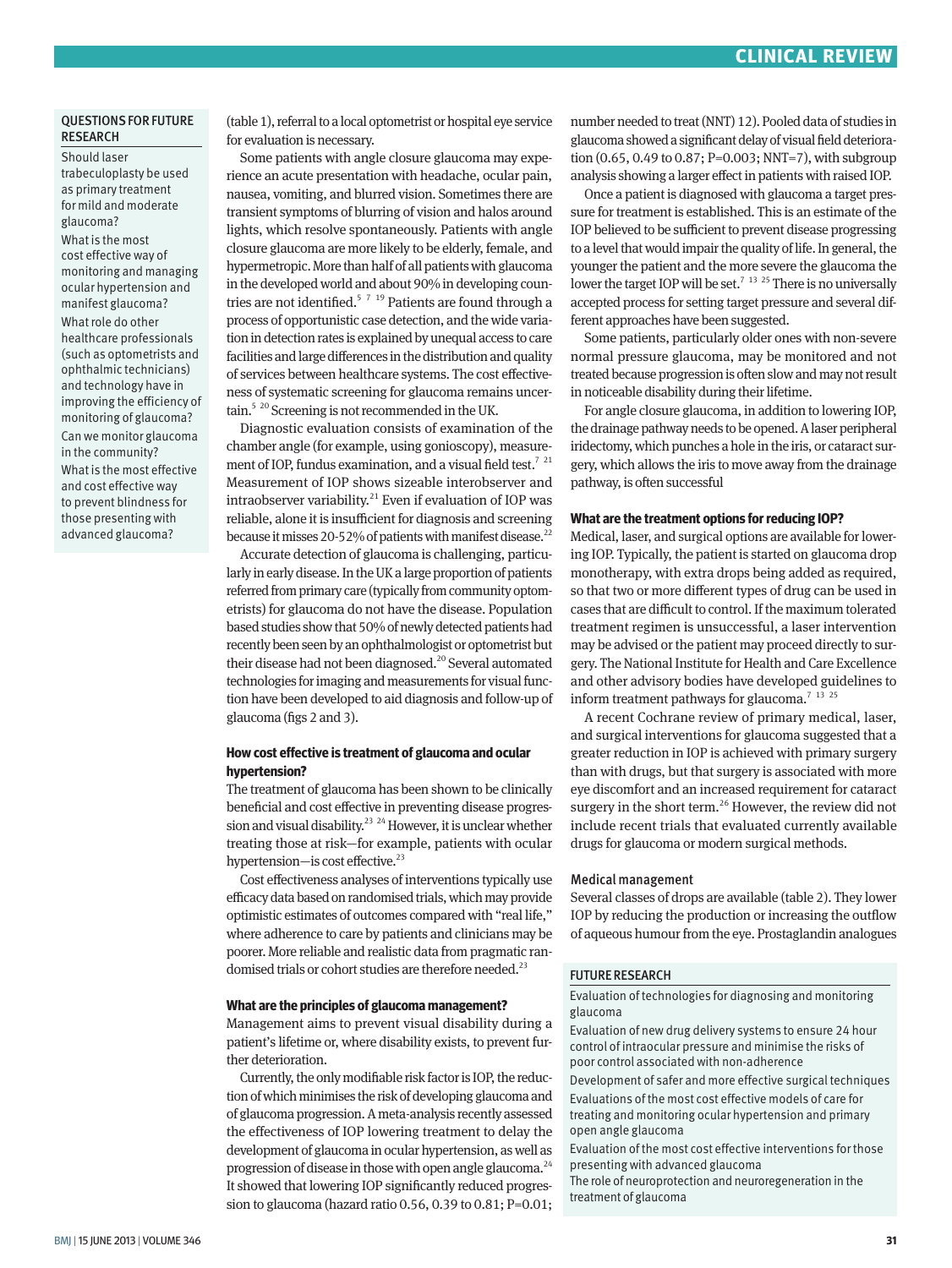#### QUESTIONS FOR FUTURE **RESEARCH**

Should laser trabeculoplasty be used as primary treatment for mild and moderate glaucoma? What is the most cost effective way of monitoring and managing ocular hypertension and manifest glaucoma? What role do other healthcare professionals (such as optometrists and ophthalmic technicians) and technology have in improving the efficiency of monitoring of glaucoma? Can we monitor glaucoma in the community? What is the most effective and cost effective way to prevent blindness for those presenting with advanced glaucoma?

(table 1), referral to a local optometrist or hospital eye service for evaluation is necessary.

Some patients with angle closure glaucoma may experience an acute presentation with headache, ocular pain, nausea, vomiting, and blurred vision. Sometimes there are transient symptoms of blurring of vision and halos around lights, which resolve spontaneously. Patients with angle closure glaucoma are more likely to be elderly, female, and hypermetropic. More than half of all patients with glaucoma in the developed world and about 90% in developing countries are not identified.<sup>5</sup><sup>7</sup><sup>19</sup> Patients are found through a process of opportunistic case detection, and the wide variation in detection rates is explained by unequal access to care facilities and large differences in the distribution and quality of services between healthcare systems. The cost effectiveness of systematic screening for glaucoma remains uncertain.5 20 Screening is not recommended in the UK.

Diagnostic evaluation consists of examination of the chamber angle (for example, using gonioscopy), measurement of IOP, fundus examination, and a visual field test.<sup>7 21</sup> Measurement of IOP shows sizeable interobserver and intraobserver variability. $^{21}$  Even if evaluation of IOP was reliable, alone it is insufficient for diagnosis and screening because it misses 20-52% of patients with manifest disease.<sup>22</sup>

Accurate detection of glaucoma is challenging, particularly in early disease. In the UK a large proportion of patients referred from primary care (typically from community optometrists) for glaucoma do not have the disease. Population based studies show that 50% of newly detected patients had recently been seen by an ophthalmologist or optometrist but their disease had not been diagnosed.<sup>20</sup> Several automated technologies for imaging and measurements for visual function have been developed to aid diagnosis and follow-up of glaucoma (figs 2 and 3).

#### **How cost effective is treatment of glaucoma and ocular hypertension?**

The treatment of glaucoma has been shown to be clinically beneficial and cost effective in preventing disease progression and visual disability.<sup>23</sup>  $24$  However, it is unclear whether treating those at risk—for example, patients with ocular hypertension—is cost effective.<sup>23</sup>

Cost effectiveness analyses of interventions typically use efficacy data based on randomised trials, which may provide optimistic estimates of outcomes compared with "real life," where adherence to care by patients and clinicians may be poorer. More reliable and realistic data from pragmatic randomised trials or cohort studies are therefore needed.<sup>23</sup>

#### **What are the principles of glaucoma management?**

Management aims to prevent visual disability during a patient's lifetime or, where disability exists, to prevent further deterioration.

Currently, the only modifiable risk factor is IOP, the reduction of which minimises the risk of developing glaucoma and of glaucoma progression. A meta-analysis recently assessed the effectiveness of IOP lowering treatment to delay the development of glaucoma in ocular hypertension, as well as progression of disease in those with open angle glaucoma.<sup>24</sup> It showed that lowering IOP significantly reduced progression to glaucoma (hazard ratio 0.56, 0.39 to 0.81; P=0.01;

number needed to treat (NNT) 12). Pooled data of studies in glaucoma showed a significant delay of visual field deterioration (0.65, 0.49 to 0.87; P=0.003; NNT=7), with subgroup analysis showing a larger effect in patients with raised IOP.

Once a patient is diagnosed with glaucoma a target pressure for treatment is established. This is an estimate of the IOP believed to be sufficient to prevent disease progressing to a level that would impair the quality of life. In general, the younger the patient and the more severe the glaucoma the lower the target IOP will be set.<sup>7 13 25</sup> There is no universally accepted process for setting target pressure and several different approaches have been suggested.

Some patients, particularly older ones with non-severe normal pressure glaucoma, may be monitored and not treated because progression is often slow and may not result in noticeable disability during their lifetime.

For angle closure glaucoma, in addition to lowering IOP, the drainage pathway needs to be opened. A laser peripheral iridectomy, which punches a hole in the iris, or cataract surgery, which allows the iris to move away from the drainage pathway, is often successful

#### **What are the treatment options for reducing IOP?**

Medical, laser, and surgical options are available for lowering IOP. Typically, the patient is started on glaucoma drop monotherapy, with extra drops being added as required, so that two or more different types of drug can be used in cases that are difficult to control. If the maximum tolerated treatment regimen is unsuccessful, a laser intervention may be advised or the patient may proceed directly to surgery. The National Institute for Health and Care Excellence and other advisory bodies have developed guidelines to inform treatment pathways for glaucoma.<sup>7</sup><sup>13</sup><sup>25</sup>

A recent Cochrane review of primary medical, laser, and surgical interventions for glaucoma suggested that a greater reduction in IOP is achieved with primary surgery than with drugs, but that surgery is associated with more eye discomfort and an increased requirement for cataract surgery in the short term.<sup>26</sup> However, the review did not include recent trials that evaluated currently available drugs for glaucoma or modern surgical methods.

#### Medical management

Several classes of drops are available (table 2). They lower IOP by reducing the production or increasing the outflow of aqueous humour from the eye. Prostaglandin analogues

#### FUTURE RESEARCH

Evaluation of technologies for diagnosing and monitoring glaucoma

Evaluation of new drug delivery systems to ensure 24 hour control of intraocular pressure and minimise the risks of poor control associated with non-adherence

Development of safer and more effective surgical techniques Evaluations of the most cost effective models of care for treating and monitoring ocular hypertension and primary open angle glaucoma

Evaluation of the most cost effective interventions for those presenting with advanced glaucoma

The role of neuroprotection and neuroregeneration in the treatment of glaucoma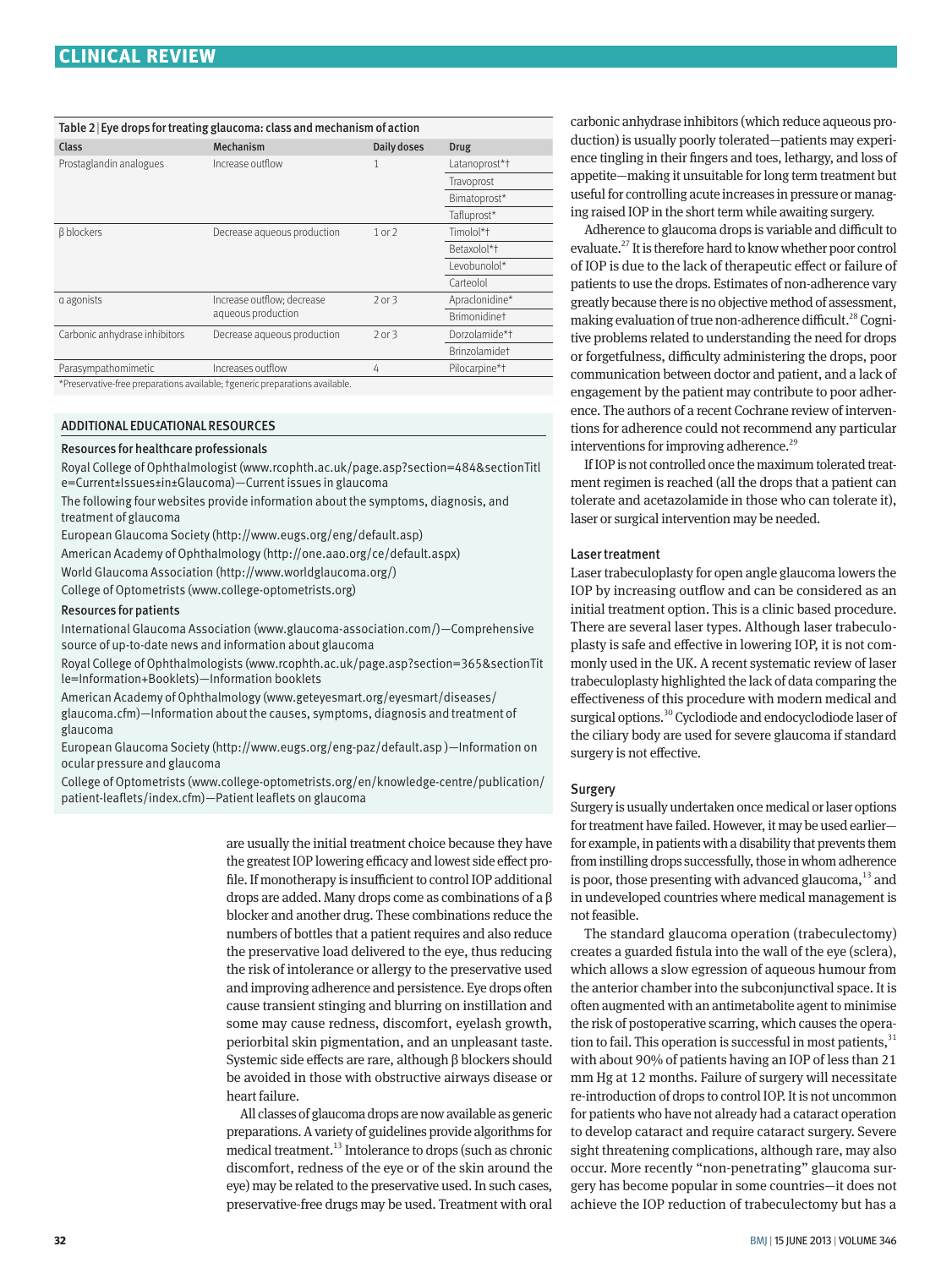| Table 2 Eye drops for treating glaucoma: class and mechanism of action |                                                                            |             |                      |  |
|------------------------------------------------------------------------|----------------------------------------------------------------------------|-------------|----------------------|--|
| Class                                                                  | Mechanism                                                                  | Daily doses | Drug                 |  |
| Prostaglandin analogues                                                | Increase outflow                                                           | 1           | Latanoprost*†        |  |
|                                                                        |                                                                            |             | Travoprost           |  |
|                                                                        |                                                                            |             | Bimatoprost*         |  |
|                                                                        |                                                                            |             | Tafluprost*          |  |
| <b>B</b> blockers                                                      | Decrease agueous production                                                | $1$ or $2$  | Timolol*†            |  |
|                                                                        |                                                                            |             | Betaxolol*t          |  |
|                                                                        |                                                                            |             | Levobunolol*         |  |
|                                                                        |                                                                            |             | Carteolol            |  |
| a agonists                                                             | Increase outflow; decrease<br>aqueous production                           | $2$ or $3$  | Apraclonidine*       |  |
|                                                                        |                                                                            |             | <b>Brimonidinet</b>  |  |
| Carbonic anhydrase inhibitors                                          | Decrease aqueous production                                                | $2$ or $3$  | Dorzolamide*t        |  |
|                                                                        |                                                                            |             | <b>Brinzolamidet</b> |  |
| Parasympathomimetic                                                    | Increases outflow                                                          | 4           | Pilocarpine*t        |  |
|                                                                        | *Proconvativo-froo proparations available: tranoric proparations available |             |                      |  |

\*Preservative-free preparations available; †generic preparations available.

#### ADDITIONAL EDUCATIONAL RESOURCES

#### Resources for healthcare professionals

Royal College of Ophthalmologist (www.rcophth.ac.uk/page.asp?section=484&sectionTitl e=Current±Issues±in±Glaucoma)—Current issues in glaucoma

The following four websites provide information about the symptoms, diagnosis, and treatment of glaucoma

European Glaucoma Society (http://www.eugs.org/eng/default.asp)

American Academy of Ophthalmology (http://one.aao.org/ce/default.aspx)

World Glaucoma Association (http://www.worldglaucoma.org/)

College of Optometrists (www.college-optometrists.org)

#### Resources for patients

International Glaucoma Association (www.glaucoma-association.com/)—Comprehensive source of up-to-date news and information about glaucoma

Royal College of Ophthalmologists (www.rcophth.ac.uk/page.asp?section=365&sectionTit le=Information+Booklets)—Information booklets

American Academy of Ophthalmology (www.geteyesmart.org/eyesmart/diseases/ glaucoma.cfm)—Information about the causes, symptoms, diagnosis and treatment of glaucoma

European Glaucoma Society (http://www.eugs.org/eng-paz/default.asp )—Information on ocular pressure and glaucoma

College of Optometrists (www.college-optometrists.org/en/knowledge-centre/publication/ patient-leaflets/index.cfm)—Patient leaflets on glaucoma

> are usually the initial treatment choice because they have the greatest IOP lowering efficacy and lowest side effect profile. If monotherapy is insufficient to control IOP additional drops are added. Many drops come as combinations of a β blocker and another drug. These combinations reduce the numbers of bottles that a patient requires and also reduce the preservative load delivered to the eye, thus reducing the risk of intolerance or allergy to the preservative used and improving adherence and persistence. Eye drops often cause transient stinging and blurring on instillation and some may cause redness, discomfort, eyelash growth, periorbital skin pigmentation, and an unpleasant taste. Systemic side effects are rare, although β blockers should be avoided in those with obstructive airways disease or heart failure.

> All classes of glaucoma drops are now available as generic preparations. A variety of guidelines provide algorithms for medical treatment.<sup>13</sup> Intolerance to drops (such as chronic discomfort, redness of the eye or of the skin around the eye) may be related to the preservative used. In such cases, preservative-free drugs may be used. Treatment with oral

carbonic anhydrase inhibitors (which reduce aqueous production) is usually poorly tolerated—patients may experience tingling in their fingers and toes, lethargy, and loss of appetite—making it unsuitable for long term treatment but useful for controlling acute increases in pressure or managing raised IOP in the short term while awaiting surgery.

Adherence to glaucoma drops is variable and difficult to evaluate.27 It is therefore hard to know whether poor control of IOP is due to the lack of therapeutic effect or failure of patients to use the drops. Estimates of non-adherence vary greatly because there is no objective method of assessment, making evaluation of true non-adherence difficult.<sup>28</sup> Cognitive problems related to understanding the need for drops or forgetfulness, difficulty administering the drops, poor communication between doctor and patient, and a lack of engagement by the patient may contribute to poor adherence. The authors of a recent Cochrane review of interventions for adherence could not recommend any particular interventions for improving adherence.<sup>29</sup>

If IOP is not controlled once the maximum tolerated treatment regimen is reached (all the drops that a patient can tolerate and acetazolamide in those who can tolerate it), laser or surgical intervention may be needed.

#### Laser treatment

Laser trabeculoplasty for open angle glaucoma lowers the IOP by increasing outflow and can be considered as an initial treatment option. This is a clinic based procedure. There are several laser types. Although laser trabeculoplasty is safe and effective in lowering IOP, it is not commonly used in the UK. A recent systematic review of laser trabeculoplasty highlighted the lack of data comparing the effectiveness of this procedure with modern medical and surgical options.30 Cyclodiode and endocyclodiode laser of the ciliary body are used for severe glaucoma if standard surgery is not effective.

#### Surgery

Surgery is usually undertaken once medical or laser options for treatment have failed. However, it may be used earlier for example, in patients with a disability that prevents them from instilling drops successfully, those in whom adherence is poor, those presenting with advanced glaucoma, $^{13}$  and in undeveloped countries where medical management is not feasible.

The standard glaucoma operation (trabeculectomy) creates a guarded fistula into the wall of the eye (sclera), which allows a slow egression of aqueous humour from the anterior chamber into the subconjunctival space. It is often augmented with an antimetabolite agent to minimise the risk of postoperative scarring, which causes the operation to fail. This operation is successful in most patients,  $31$ with about 90% of patients having an IOP of less than 21 mm Hg at 12 months. Failure of surgery will necessitate re-introduction of drops to control IOP. It is not uncommon for patients who have not already had a cataract operation to develop cataract and require cataract surgery. Severe sight threatening complications, although rare, may also occur. More recently "non-penetrating" glaucoma surgery has become popular in some countries—it does not achieve the IOP reduction of trabeculectomy but has a